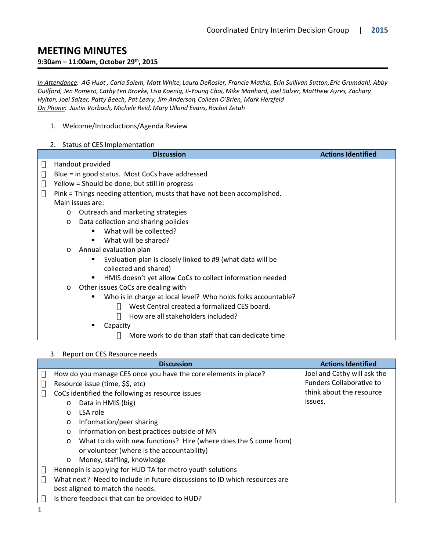# **MEETING MINUTES**

#### **9:30am – 11:00am, October 29th, 2015**

*In Attendance: AG Huot , Carla Solem, Matt White, Laura DeRosier, Francie Mathis, Erin Sullivan Sutton, Eric Grumdahl, Abby Guilford, Jen Romero, Cathy ten Broeke, Lisa Koenig, Ji-Young Choi, Mike Manhard, Joel Salzer, Matthew Ayres, Zachary Hylton, Joel Salzer, Patty Beech, Pat Leary, Jim Anderson, Colleen O'Brien, Mark Herzfeld On Phone: Justin Vorbach, Michele Reid, Mary Ulland Evans, Rachel Zetah*

- 1. Welcome/Introductions/Agenda Review
- 2. Status of CES Implementation

| <b>Discussion</b>                                                       | <b>Actions Identified</b> |
|-------------------------------------------------------------------------|---------------------------|
| Handout provided                                                        |                           |
| Blue = in good status. Most CoCs have addressed                         |                           |
| Yellow = Should be done, but still in progress                          |                           |
| Pink = Things needing attention, musts that have not been accomplished. |                           |
| Main issues are:                                                        |                           |
| Outreach and marketing strategies<br>$\circ$                            |                           |
| Data collection and sharing policies<br>$\circ$                         |                           |
| What will be collected?                                                 |                           |
| What will be shared?                                                    |                           |
| Annual evaluation plan<br>$\circ$                                       |                           |
| Evaluation plan is closely linked to #9 (what data will be              |                           |
| collected and shared)                                                   |                           |
| HMIS doesn't yet allow CoCs to collect information needed<br>٠          |                           |
| Other issues CoCs are dealing with<br>$\circ$                           |                           |
| Who is in charge at local level? Who holds folks accountable?           |                           |
| West Central created a formalized CES board.                            |                           |
| How are all stakeholders included?                                      |                           |
| Capacity                                                                |                           |
| More work to do than staff that can dedicate time                       |                           |

#### 3. Report on CES Resource needs

| <b>Discussion</b>                                                            | <b>Actions Identified</b>       |
|------------------------------------------------------------------------------|---------------------------------|
| How do you manage CES once you have the core elements in place?              | Joel and Cathy will ask the     |
| Resource issue (time, \$\$, etc)                                             | <b>Funders Collaborative to</b> |
| CoCs identified the following as resource issues                             | think about the resource        |
| Data in HMIS (big)<br>$\circ$                                                | issues.                         |
| LSA role<br>$\circ$                                                          |                                 |
| Information/peer sharing<br>$\circ$                                          |                                 |
| Information on best practices outside of MN<br>$\circ$                       |                                 |
| What to do with new functions? Hire (where does the \$ come from)<br>$\circ$ |                                 |
| or volunteer (where is the accountability)                                   |                                 |
| Money, staffing, knowledge<br>$\circ$                                        |                                 |
| Hennepin is applying for HUD TA for metro youth solutions                    |                                 |
| What next? Need to include in future discussions to ID which resources are   |                                 |
| best aligned to match the needs.                                             |                                 |
| Is there feedback that can be provided to HUD?                               |                                 |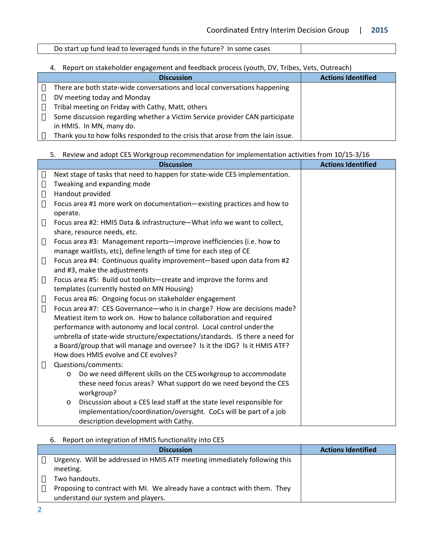## Do start up fund lead to leveraged funds in the future? In some cases

## 4. Report on stakeholder engagement and feedback process (youth, DV, Tribes, Vets, Outreach)

| <b>Discussion</b>                                                              | <b>Actions Identified</b> |
|--------------------------------------------------------------------------------|---------------------------|
| There are both state-wide conversations and local conversations happening      |                           |
| DV meeting today and Monday                                                    |                           |
| Tribal meeting on Friday with Cathy, Matt, others                              |                           |
| Some discussion regarding whether a Victim Service provider CAN participate    |                           |
| in HMIS. In MN, many do.                                                       |                           |
| Thank you to how folks responded to the crisis that arose from the lain issue. |                           |

#### 5. Review and adopt CES Workgroup recommendation for implementation activities from 10/15-3/16

| <b>Discussion</b>                                                                                     | <b>Actions Identified</b> |
|-------------------------------------------------------------------------------------------------------|---------------------------|
| Next stage of tasks that need to happen for state-wide CES implementation.                            |                           |
| Tweaking and expanding mode                                                                           |                           |
| Handout provided                                                                                      |                           |
| Focus area #1 more work on documentation-existing practices and how to<br>operate.                    |                           |
| Focus area #2: HMIS Data & infrastructure-What info we want to collect,                               |                           |
| share, resource needs, etc.                                                                           |                           |
| Focus area #3: Management reports-improve inefficiencies (i.e. how to                                 |                           |
| manage waitlists, etc), define length of time for each step of CE                                     |                           |
| Focus area #4: Continuous quality improvement-based upon data from #2<br>and #3, make the adjustments |                           |
| Focus area #5: Build out toolkits-create and improve the forms and                                    |                           |
| templates (currently hosted on MN Housing)                                                            |                           |
| Focus area #6: Ongoing focus on stakeholder engagement                                                |                           |
| Focus area #7: CES Governance-who is in charge? How are decisions made?                               |                           |
| Meatiest item to work on. How to balance collaboration and required                                   |                           |
| performance with autonomy and local control. Local control under the                                  |                           |
| umbrella of state-wide structure/expectations/standards. IS there a need for                          |                           |
| a Board/group that will manage and oversee? Is it the IDG? Is it HMIS ATF?                            |                           |
| How does HMIS evolve and CE evolves?                                                                  |                           |
| Questions/comments:                                                                                   |                           |
| Do we need different skills on the CES workgroup to accommodate<br>$\circ$                            |                           |
| these need focus areas? What support do we need beyond the CES<br>workgroup?                          |                           |
| Discussion about a CES lead staff at the state level responsible for<br>$\circ$                       |                           |
| implementation/coordination/oversight. CoCs will be part of a job                                     |                           |
| description development with Cathy.                                                                   |                           |

6. Report on integration of HMIS functionality into CES

| <b>Discussion</b>                                                                     | <b>Actions Identified</b> |
|---------------------------------------------------------------------------------------|---------------------------|
| Urgency. Will be addressed in HMIS ATF meeting immediately following this<br>meeting. |                           |
| Two handouts.                                                                         |                           |
| Proposing to contract with MI. We already have a contract with them. They             |                           |
| understand our system and players.                                                    |                           |